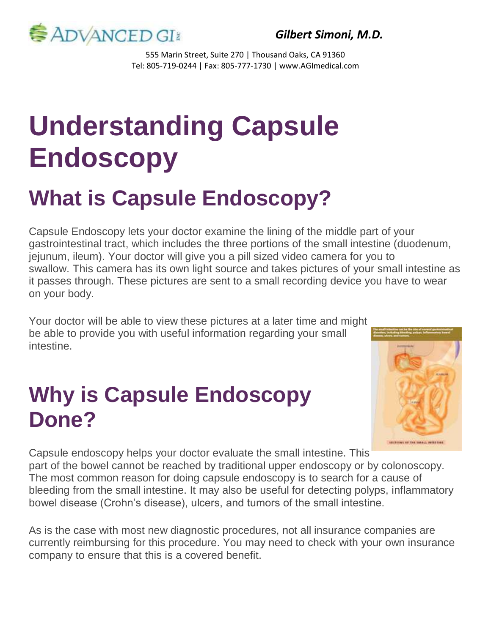

*Gilbert Simoni, M.D.*

555 Marin Street, Suite 270 | Thousand Oaks, CA 91360 Tel: 805-719-0244 | Fax: 805-777-1730 | www.AGImedical.com

# **Understanding Capsule Endoscopy**

#### **What is Capsule Endoscopy?**

Capsule Endoscopy lets your doctor examine the lining of the middle part of your gastrointestinal tract, which includes the three portions of the small intestine (duodenum, jejunum, ileum). Your doctor will give you a pill sized video camera for you to swallow. This camera has its own light source and takes pictures of your small intestine as it passes through. These pictures are sent to a small recording device you have to wear on your body.

Your doctor will be able to view these pictures at a later time and might be able to provide you with useful information regarding your small intestine.

#### **Why is Capsule Endoscopy Done?**



Capsule endoscopy helps your doctor evaluate the small intestine. This part of the bowel cannot be reached by traditional upper endoscopy or by colonoscopy. The most common reason for doing capsule endoscopy is to search for a cause of bleeding from the small intestine. It may also be useful for detecting polyps, inflammatory bowel disease (Crohn's disease), ulcers, and tumors of the small intestine.

As is the case with most new diagnostic procedures, not all insurance companies are currently reimbursing for this procedure. You may need to check with your own insurance company to ensure that this is a covered benefit.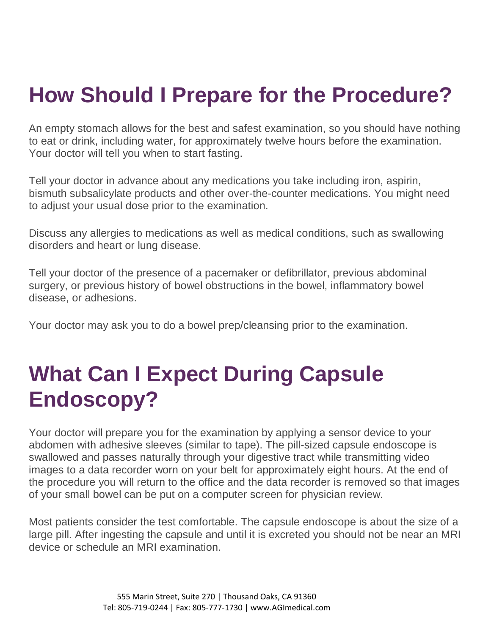# **How Should I Prepare for the Procedure?**

An empty stomach allows for the best and safest examination, so you should have nothing to eat or drink, including water, for approximately twelve hours before the examination. Your doctor will tell you when to start fasting.

Tell your doctor in advance about any medications you take including iron, aspirin, bismuth subsalicylate products and other over-the-counter medications. You might need to adjust your usual dose prior to the examination.

Discuss any allergies to medications as well as medical conditions, such as swallowing disorders and heart or lung disease.

Tell your doctor of the presence of a pacemaker or defibrillator, previous abdominal surgery, or previous history of bowel obstructions in the bowel, inflammatory bowel disease, or adhesions.

Your doctor may ask you to do a bowel prep/cleansing prior to the examination.

#### **What Can I Expect During Capsule Endoscopy?**

Your doctor will prepare you for the examination by applying a sensor device to your abdomen with adhesive sleeves (similar to tape). The pill-sized capsule endoscope is swallowed and passes naturally through your digestive tract while transmitting video images to a data recorder worn on your belt for approximately eight hours. At the end of the procedure you will return to the office and the data recorder is removed so that images of your small bowel can be put on a computer screen for physician review.

Most patients consider the test comfortable. The capsule endoscope is about the size of a large pill. After ingesting the capsule and until it is excreted you should not be near an MRI device or schedule an MRI examination.